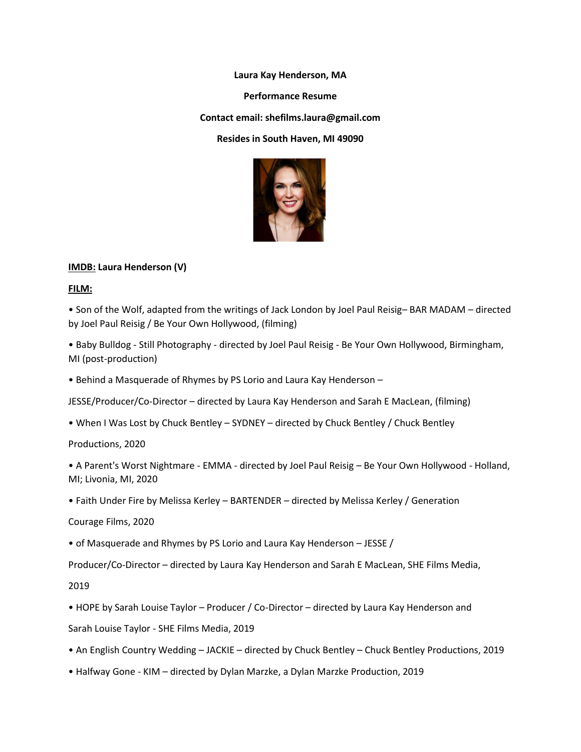**Laura Kay Henderson, MA**

**Performance Resume**

**Contact email: shefilms.laura@gmail.com**

**Resides in South Haven, MI 49090**



# **IMDB: Laura Henderson (V)**

**FILM:**

• Son of the Wolf, adapted from the writings of Jack London by Joel Paul Reisig– BAR MADAM – directed by Joel Paul Reisig / Be Your Own Hollywood, (filming)

• Baby Bulldog - Still Photography - directed by Joel Paul Reisig - Be Your Own Hollywood, Birmingham, MI (post-production)

• Behind a Masquerade of Rhymes by PS Lorio and Laura Kay Henderson –

JESSE/Producer/Co-Director – directed by Laura Kay Henderson and Sarah E MacLean, (filming)

• When I Was Lost by Chuck Bentley – SYDNEY – directed by Chuck Bentley / Chuck Bentley

Productions, 2020

• A Parent's Worst Nightmare - EMMA - directed by Joel Paul Reisig – Be Your Own Hollywood - Holland, MI; Livonia, MI, 2020

• Faith Under Fire by Melissa Kerley – BARTENDER – directed by Melissa Kerley / Generation

Courage Films, 2020

• of Masquerade and Rhymes by PS Lorio and Laura Kay Henderson – JESSE /

Producer/Co-Director – directed by Laura Kay Henderson and Sarah E MacLean, SHE Films Media,

2019

• HOPE by Sarah Louise Taylor – Producer / Co-Director – directed by Laura Kay Henderson and

Sarah Louise Taylor - SHE Films Media, 2019

- An English Country Wedding JACKIE directed by Chuck Bentley Chuck Bentley Productions, 2019
- Halfway Gone KIM directed by Dylan Marzke, a Dylan Marzke Production, 2019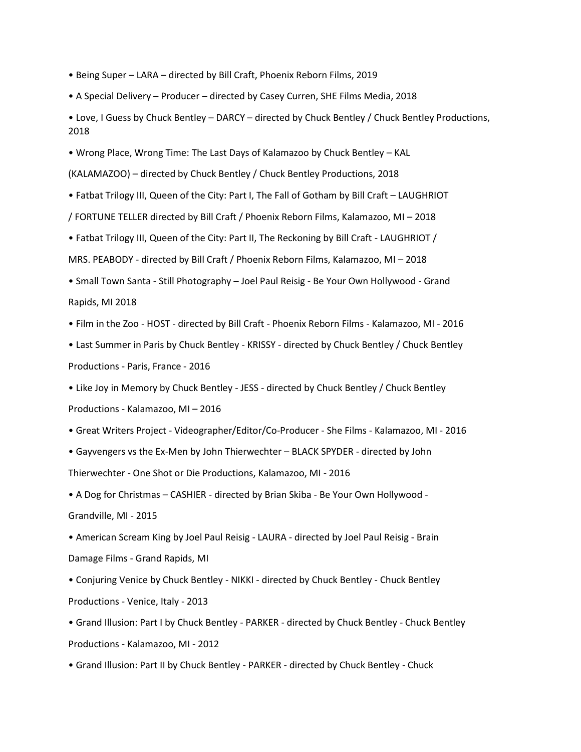- Being Super LARA directed by Bill Craft, Phoenix Reborn Films, 2019
- A Special Delivery Producer directed by Casey Curren, SHE Films Media, 2018
- Love, I Guess by Chuck Bentley DARCY directed by Chuck Bentley / Chuck Bentley Productions, 2018
- Wrong Place, Wrong Time: The Last Days of Kalamazoo by Chuck Bentley KAL
- (KALAMAZOO) directed by Chuck Bentley / Chuck Bentley Productions, 2018
- Fatbat Trilogy III, Queen of the City: Part I, The Fall of Gotham by Bill Craft LAUGHRIOT
- / FORTUNE TELLER directed by Bill Craft / Phoenix Reborn Films, Kalamazoo, MI 2018
- Fatbat Trilogy III, Queen of the City: Part II, The Reckoning by Bill Craft LAUGHRIOT /
- MRS. PEABODY directed by Bill Craft / Phoenix Reborn Films, Kalamazoo, MI 2018
- Small Town Santa Still Photography Joel Paul Reisig Be Your Own Hollywood Grand Rapids, MI 2018
- Film in the Zoo HOST directed by Bill Craft Phoenix Reborn Films Kalamazoo, MI 2016
- Last Summer in Paris by Chuck Bentley KRISSY directed by Chuck Bentley / Chuck Bentley Productions - Paris, France - 2016
- Like Joy in Memory by Chuck Bentley JESS directed by Chuck Bentley / Chuck Bentley Productions - Kalamazoo, MI – 2016
- Great Writers Project Videographer/Editor/Co-Producer She Films Kalamazoo, MI 2016
- Gayvengers vs the Ex-Men by John Thierwechter BLACK SPYDER directed by John Thierwechter - One Shot or Die Productions, Kalamazoo, MI - 2016
- A Dog for Christmas CASHIER directed by Brian Skiba Be Your Own Hollywood Grandville, MI - 2015
- American Scream King by Joel Paul Reisig LAURA directed by Joel Paul Reisig Brain Damage Films - Grand Rapids, MI
- Conjuring Venice by Chuck Bentley NIKKI directed by Chuck Bentley Chuck Bentley Productions - Venice, Italy - 2013
- Grand Illusion: Part I by Chuck Bentley PARKER directed by Chuck Bentley Chuck Bentley Productions - Kalamazoo, MI - 2012
- Grand Illusion: Part II by Chuck Bentley PARKER directed by Chuck Bentley Chuck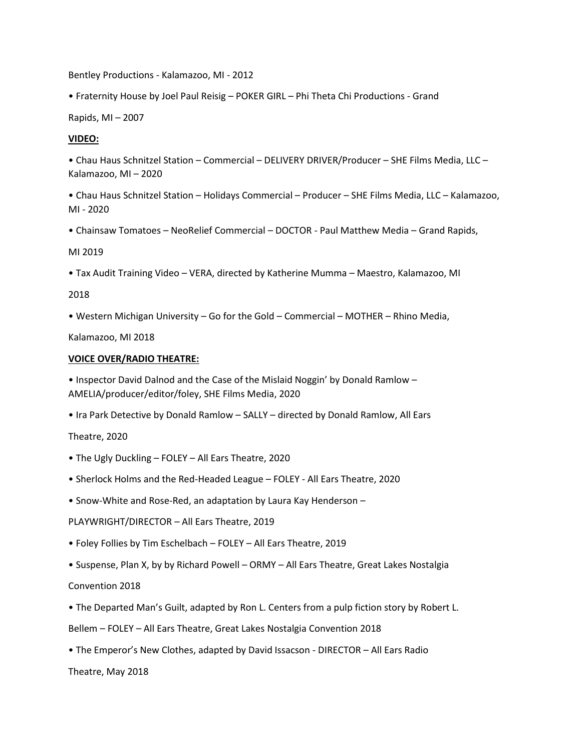Bentley Productions - Kalamazoo, MI - 2012

• Fraternity House by Joel Paul Reisig – POKER GIRL – Phi Theta Chi Productions - Grand

Rapids, MI – 2007

# **VIDEO:**

• Chau Haus Schnitzel Station – Commercial – DELIVERY DRIVER/Producer – SHE Films Media, LLC – Kalamazoo, MI – 2020

• Chau Haus Schnitzel Station – Holidays Commercial – Producer – SHE Films Media, LLC – Kalamazoo, MI - 2020

• Chainsaw Tomatoes – NeoRelief Commercial – DOCTOR - Paul Matthew Media – Grand Rapids,

MI 2019

• Tax Audit Training Video – VERA, directed by Katherine Mumma – Maestro, Kalamazoo, MI

2018

• Western Michigan University – Go for the Gold – Commercial – MOTHER – Rhino Media,

Kalamazoo, MI 2018

## **VOICE OVER/RADIO THEATRE:**

• Inspector David Dalnod and the Case of the Mislaid Noggin' by Donald Ramlow – AMELIA/producer/editor/foley, SHE Films Media, 2020

• Ira Park Detective by Donald Ramlow – SALLY – directed by Donald Ramlow, All Ears

Theatre, 2020

- The Ugly Duckling FOLEY All Ears Theatre, 2020
- Sherlock Holms and the Red-Headed League FOLEY All Ears Theatre, 2020
- Snow-White and Rose-Red, an adaptation by Laura Kay Henderson –

PLAYWRIGHT/DIRECTOR – All Ears Theatre, 2019

• Foley Follies by Tim Eschelbach – FOLEY – All Ears Theatre, 2019

• Suspense, Plan X, by by Richard Powell – ORMY – All Ears Theatre, Great Lakes Nostalgia

Convention 2018

• The Departed Man's Guilt, adapted by Ron L. Centers from a pulp fiction story by Robert L.

Bellem – FOLEY – All Ears Theatre, Great Lakes Nostalgia Convention 2018

• The Emperor's New Clothes, adapted by David Issacson - DIRECTOR – All Ears Radio

Theatre, May 2018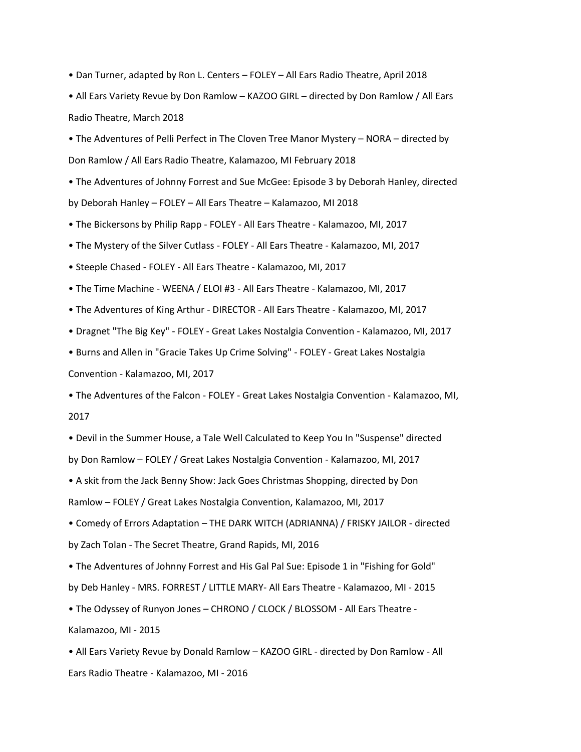• Dan Turner, adapted by Ron L. Centers – FOLEY – All Ears Radio Theatre, April 2018

• All Ears Variety Revue by Don Ramlow – KAZOO GIRL – directed by Don Ramlow / All Ears Radio Theatre, March 2018

• The Adventures of Pelli Perfect in The Cloven Tree Manor Mystery – NORA – directed by Don Ramlow / All Ears Radio Theatre, Kalamazoo, MI February 2018

• The Adventures of Johnny Forrest and Sue McGee: Episode 3 by Deborah Hanley, directed by Deborah Hanley – FOLEY – All Ears Theatre – Kalamazoo, MI 2018

• The Bickersons by Philip Rapp - FOLEY - All Ears Theatre - Kalamazoo, MI, 2017

• The Mystery of the Silver Cutlass - FOLEY - All Ears Theatre - Kalamazoo, MI, 2017

• Steeple Chased - FOLEY - All Ears Theatre - Kalamazoo, MI, 2017

• The Time Machine - WEENA / ELOI #3 - All Ears Theatre - Kalamazoo, MI, 2017

• The Adventures of King Arthur - DIRECTOR - All Ears Theatre - Kalamazoo, MI, 2017

• Dragnet "The Big Key" - FOLEY - Great Lakes Nostalgia Convention - Kalamazoo, MI, 2017

• Burns and Allen in "Gracie Takes Up Crime Solving" - FOLEY - Great Lakes Nostalgia

Convention - Kalamazoo, MI, 2017

• The Adventures of the Falcon - FOLEY - Great Lakes Nostalgia Convention - Kalamazoo, MI, 2017

• Devil in the Summer House, a Tale Well Calculated to Keep You In "Suspense" directed by Don Ramlow – FOLEY / Great Lakes Nostalgia Convention - Kalamazoo, MI, 2017

• A skit from the Jack Benny Show: Jack Goes Christmas Shopping, directed by Don

Ramlow – FOLEY / Great Lakes Nostalgia Convention, Kalamazoo, MI, 2017

• Comedy of Errors Adaptation – THE DARK WITCH (ADRIANNA) / FRISKY JAILOR - directed by Zach Tolan - The Secret Theatre, Grand Rapids, MI, 2016

• The Adventures of Johnny Forrest and His Gal Pal Sue: Episode 1 in "Fishing for Gold" by Deb Hanley - MRS. FORREST / LITTLE MARY- All Ears Theatre - Kalamazoo, MI - 2015

• The Odyssey of Runyon Jones – CHRONO / CLOCK / BLOSSOM - All Ears Theatre -

Kalamazoo, MI - 2015

• All Ears Variety Revue by Donald Ramlow – KAZOO GIRL - directed by Don Ramlow - All Ears Radio Theatre - Kalamazoo, MI - 2016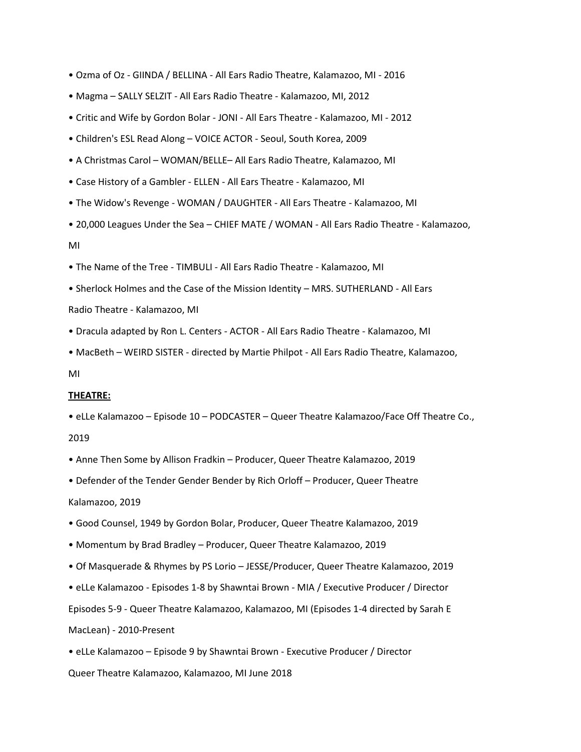- Ozma of Oz GIINDA / BELLINA All Ears Radio Theatre, Kalamazoo, MI 2016
- Magma SALLY SELZIT All Ears Radio Theatre Kalamazoo, MI, 2012
- Critic and Wife by Gordon Bolar JONI All Ears Theatre Kalamazoo, MI 2012
- Children's ESL Read Along VOICE ACTOR Seoul, South Korea, 2009
- A Christmas Carol WOMAN/BELLE– All Ears Radio Theatre, Kalamazoo, MI
- Case History of a Gambler ELLEN All Ears Theatre Kalamazoo, MI
- The Widow's Revenge WOMAN / DAUGHTER All Ears Theatre Kalamazoo, MI
- 20,000 Leagues Under the Sea CHIEF MATE / WOMAN All Ears Radio Theatre Kalamazoo,

MI

- The Name of the Tree TIMBULI All Ears Radio Theatre Kalamazoo, MI
- Sherlock Holmes and the Case of the Mission Identity MRS. SUTHERLAND All Ears

Radio Theatre - Kalamazoo, MI

- Dracula adapted by Ron L. Centers ACTOR All Ears Radio Theatre Kalamazoo, MI
- MacBeth WEIRD SISTER directed by Martie Philpot All Ears Radio Theatre, Kalamazoo,

### MI

## **THEATRE:**

- eLLe Kalamazoo Episode 10 PODCASTER Queer Theatre Kalamazoo/Face Off Theatre Co., 2019
- Anne Then Some by Allison Fradkin Producer, Queer Theatre Kalamazoo, 2019
- Defender of the Tender Gender Bender by Rich Orloff Producer, Queer Theatre Kalamazoo, 2019
- Good Counsel, 1949 by Gordon Bolar, Producer, Queer Theatre Kalamazoo, 2019
- Momentum by Brad Bradley Producer, Queer Theatre Kalamazoo, 2019
- Of Masquerade & Rhymes by PS Lorio JESSE/Producer, Queer Theatre Kalamazoo, 2019
- eLLe Kalamazoo Episodes 1-8 by Shawntai Brown MIA / Executive Producer / Director

Episodes 5-9 - Queer Theatre Kalamazoo, Kalamazoo, MI (Episodes 1-4 directed by Sarah E MacLean) - 2010-Present

• eLLe Kalamazoo – Episode 9 by Shawntai Brown - Executive Producer / Director Queer Theatre Kalamazoo, Kalamazoo, MI June 2018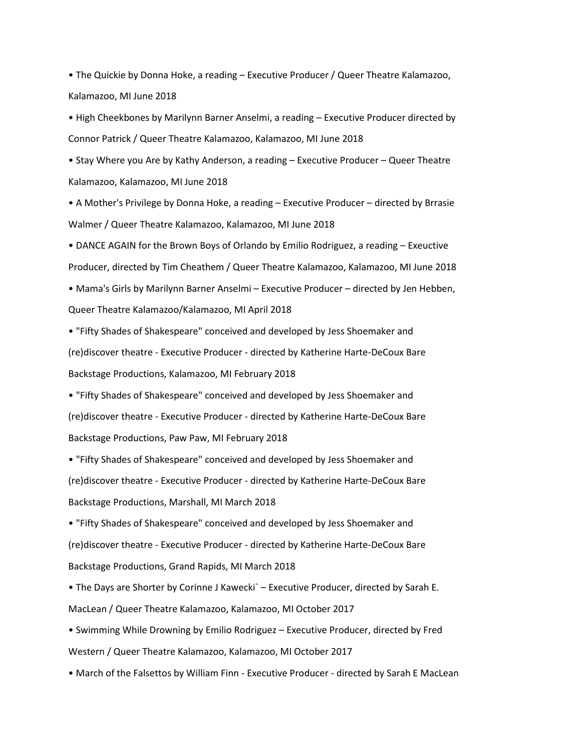• The Quickie by Donna Hoke, a reading – Executive Producer / Queer Theatre Kalamazoo, Kalamazoo, MI June 2018

• High Cheekbones by Marilynn Barner Anselmi, a reading – Executive Producer directed by Connor Patrick / Queer Theatre Kalamazoo, Kalamazoo, MI June 2018

• Stay Where you Are by Kathy Anderson, a reading – Executive Producer – Queer Theatre Kalamazoo, Kalamazoo, MI June 2018

• A Mother's Privilege by Donna Hoke, a reading – Executive Producer – directed by Brrasie Walmer / Queer Theatre Kalamazoo, Kalamazoo, MI June 2018

• DANCE AGAIN for the Brown Boys of Orlando by Emilio Rodriguez, a reading – Exeuctive Producer, directed by Tim Cheathem / Queer Theatre Kalamazoo, Kalamazoo, MI June 2018

• Mama's Girls by Marilynn Barner Anselmi – Executive Producer – directed by Jen Hebben, Queer Theatre Kalamazoo/Kalamazoo, MI April 2018

• "Fifty Shades of Shakespeare" conceived and developed by Jess Shoemaker and (re)discover theatre - Executive Producer - directed by Katherine Harte-DeCoux Bare Backstage Productions, Kalamazoo, MI February 2018

• "Fifty Shades of Shakespeare" conceived and developed by Jess Shoemaker and (re)discover theatre - Executive Producer - directed by Katherine Harte-DeCoux Bare Backstage Productions, Paw Paw, MI February 2018

• "Fifty Shades of Shakespeare" conceived and developed by Jess Shoemaker and (re)discover theatre - Executive Producer - directed by Katherine Harte-DeCoux Bare Backstage Productions, Marshall, MI March 2018

• "Fifty Shades of Shakespeare" conceived and developed by Jess Shoemaker and (re)discover theatre - Executive Producer - directed by Katherine Harte-DeCoux Bare Backstage Productions, Grand Rapids, MI March 2018

• The Days are Shorter by Corinne J Kawecki` – Executive Producer, directed by Sarah E. MacLean / Queer Theatre Kalamazoo, Kalamazoo, MI October 2017

• Swimming While Drowning by Emilio Rodriguez – Executive Producer, directed by Fred Western / Queer Theatre Kalamazoo, Kalamazoo, MI October 2017

• March of the Falsettos by William Finn - Executive Producer - directed by Sarah E MacLean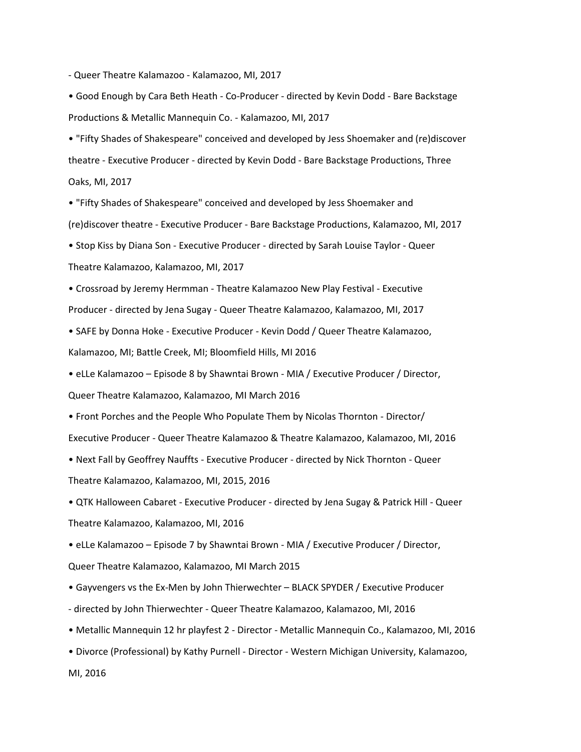- Queer Theatre Kalamazoo - Kalamazoo, MI, 2017

• Good Enough by Cara Beth Heath - Co-Producer - directed by Kevin Dodd - Bare Backstage Productions & Metallic Mannequin Co. - Kalamazoo, MI, 2017

• "Fifty Shades of Shakespeare" conceived and developed by Jess Shoemaker and (re)discover theatre - Executive Producer - directed by Kevin Dodd - Bare Backstage Productions, Three Oaks, MI, 2017

• "Fifty Shades of Shakespeare" conceived and developed by Jess Shoemaker and (re)discover theatre - Executive Producer - Bare Backstage Productions, Kalamazoo, MI, 2017

• Stop Kiss by Diana Son - Executive Producer - directed by Sarah Louise Taylor - Queer Theatre Kalamazoo, Kalamazoo, MI, 2017

• Crossroad by Jeremy Hermman - Theatre Kalamazoo New Play Festival - Executive Producer - directed by Jena Sugay - Queer Theatre Kalamazoo, Kalamazoo, MI, 2017

• SAFE by Donna Hoke - Executive Producer - Kevin Dodd / Queer Theatre Kalamazoo, Kalamazoo, MI; Battle Creek, MI; Bloomfield Hills, MI 2016

• eLLe Kalamazoo – Episode 8 by Shawntai Brown - MIA / Executive Producer / Director, Queer Theatre Kalamazoo, Kalamazoo, MI March 2016

• Front Porches and the People Who Populate Them by Nicolas Thornton - Director/ Executive Producer - Queer Theatre Kalamazoo & Theatre Kalamazoo, Kalamazoo, MI, 2016

• Next Fall by Geoffrey Nauffts - Executive Producer - directed by Nick Thornton - Queer

Theatre Kalamazoo, Kalamazoo, MI, 2015, 2016

• QTK Halloween Cabaret - Executive Producer - directed by Jena Sugay & Patrick Hill - Queer Theatre Kalamazoo, Kalamazoo, MI, 2016

• eLLe Kalamazoo – Episode 7 by Shawntai Brown - MIA / Executive Producer / Director, Queer Theatre Kalamazoo, Kalamazoo, MI March 2015

• Gayvengers vs the Ex-Men by John Thierwechter – BLACK SPYDER / Executive Producer

- directed by John Thierwechter Queer Theatre Kalamazoo, Kalamazoo, MI, 2016
- Metallic Mannequin 12 hr playfest 2 Director Metallic Mannequin Co., Kalamazoo, MI, 2016
- Divorce (Professional) by Kathy Purnell Director Western Michigan University, Kalamazoo,

MI, 2016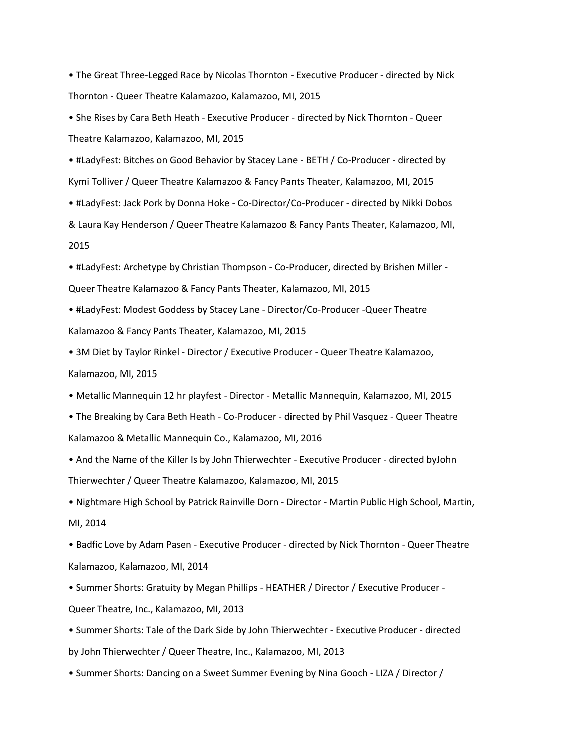• The Great Three-Legged Race by Nicolas Thornton - Executive Producer - directed by Nick Thornton - Queer Theatre Kalamazoo, Kalamazoo, MI, 2015

• She Rises by Cara Beth Heath - Executive Producer - directed by Nick Thornton - Queer Theatre Kalamazoo, Kalamazoo, MI, 2015

• #LadyFest: Bitches on Good Behavior by Stacey Lane - BETH / Co-Producer - directed by Kymi Tolliver / Queer Theatre Kalamazoo & Fancy Pants Theater, Kalamazoo, MI, 2015

• #LadyFest: Jack Pork by Donna Hoke - Co-Director/Co-Producer - directed by Nikki Dobos & Laura Kay Henderson / Queer Theatre Kalamazoo & Fancy Pants Theater, Kalamazoo, MI, 2015

• #LadyFest: Archetype by Christian Thompson - Co-Producer, directed by Brishen Miller - Queer Theatre Kalamazoo & Fancy Pants Theater, Kalamazoo, MI, 2015

- #LadyFest: Modest Goddess by Stacey Lane Director/Co-Producer -Queer Theatre Kalamazoo & Fancy Pants Theater, Kalamazoo, MI, 2015
- 3M Diet by Taylor Rinkel Director / Executive Producer Queer Theatre Kalamazoo, Kalamazoo, MI, 2015

• Metallic Mannequin 12 hr playfest - Director - Metallic Mannequin, Kalamazoo, MI, 2015

• The Breaking by Cara Beth Heath - Co-Producer - directed by Phil Vasquez - Queer Theatre Kalamazoo & Metallic Mannequin Co., Kalamazoo, MI, 2016

• And the Name of the Killer Is by John Thierwechter - Executive Producer - directed byJohn Thierwechter / Queer Theatre Kalamazoo, Kalamazoo, MI, 2015

• Nightmare High School by Patrick Rainville Dorn - Director - Martin Public High School, Martin, MI, 2014

• Badfic Love by Adam Pasen - Executive Producer - directed by Nick Thornton - Queer Theatre Kalamazoo, Kalamazoo, MI, 2014

• Summer Shorts: Gratuity by Megan Phillips - HEATHER / Director / Executive Producer - Queer Theatre, Inc., Kalamazoo, MI, 2013

• Summer Shorts: Tale of the Dark Side by John Thierwechter - Executive Producer - directed by John Thierwechter / Queer Theatre, Inc., Kalamazoo, MI, 2013

• Summer Shorts: Dancing on a Sweet Summer Evening by Nina Gooch - LIZA / Director /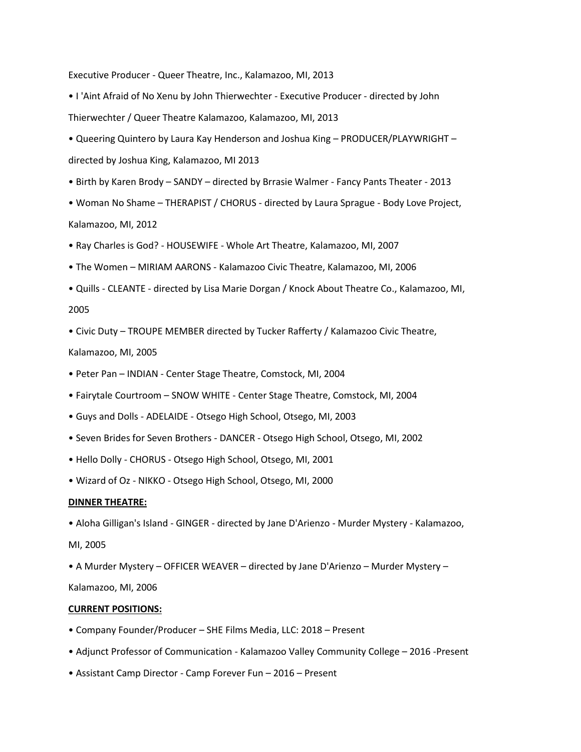Executive Producer - Queer Theatre, Inc., Kalamazoo, MI, 2013

- I 'Aint Afraid of No Xenu by John Thierwechter Executive Producer directed by John Thierwechter / Queer Theatre Kalamazoo, Kalamazoo, MI, 2013
- Queering Quintero by Laura Kay Henderson and Joshua King PRODUCER/PLAYWRIGHT directed by Joshua King, Kalamazoo, MI 2013
- Birth by Karen Brody SANDY directed by Brrasie Walmer Fancy Pants Theater 2013
- Woman No Shame THERAPIST / CHORUS directed by Laura Sprague Body Love Project, Kalamazoo, MI, 2012
- Ray Charles is God? HOUSEWIFE Whole Art Theatre, Kalamazoo, MI, 2007
- The Women MIRIAM AARONS Kalamazoo Civic Theatre, Kalamazoo, MI, 2006
- Quills CLEANTE directed by Lisa Marie Dorgan / Knock About Theatre Co., Kalamazoo, MI, 2005
- Civic Duty TROUPE MEMBER directed by Tucker Rafferty / Kalamazoo Civic Theatre,

### Kalamazoo, MI, 2005

- Peter Pan INDIAN Center Stage Theatre, Comstock, MI, 2004
- Fairytale Courtroom SNOW WHITE Center Stage Theatre, Comstock, MI, 2004
- Guys and Dolls ADELAIDE Otsego High School, Otsego, MI, 2003
- Seven Brides for Seven Brothers DANCER Otsego High School, Otsego, MI, 2002
- Hello Dolly CHORUS Otsego High School, Otsego, MI, 2001
- Wizard of Oz NIKKO Otsego High School, Otsego, MI, 2000

## **DINNER THEATRE:**

- Aloha Gilligan's Island GINGER directed by Jane D'Arienzo Murder Mystery Kalamazoo,
- MI, 2005
- A Murder Mystery OFFICER WEAVER directed by Jane D'Arienzo Murder Mystery –

Kalamazoo, MI, 2006

#### **CURRENT POSITIONS:**

- Company Founder/Producer SHE Films Media, LLC: 2018 Present
- Adjunct Professor of Communication Kalamazoo Valley Community College 2016 -Present
- Assistant Camp Director Camp Forever Fun 2016 Present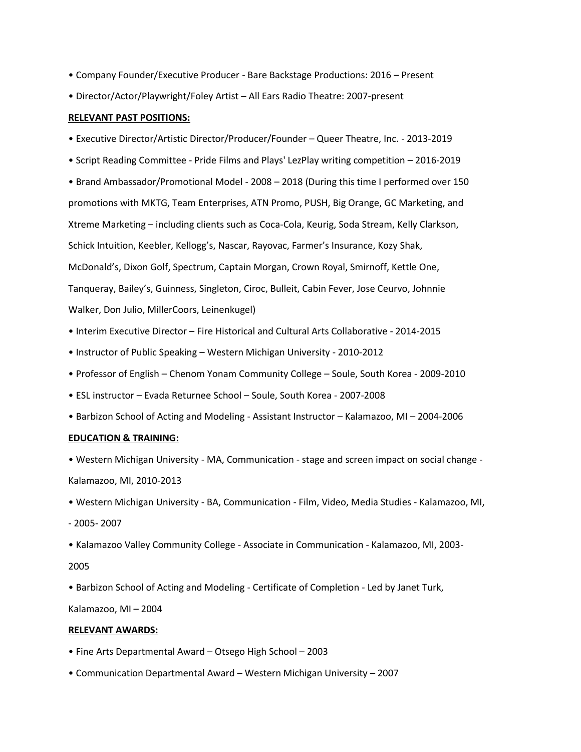- Company Founder/Executive Producer Bare Backstage Productions: 2016 Present
- Director/Actor/Playwright/Foley Artist All Ears Radio Theatre: 2007-present

### **RELEVANT PAST POSITIONS:**

- Executive Director/Artistic Director/Producer/Founder Queer Theatre, Inc. 2013-2019
- Script Reading Committee Pride Films and Plays' LezPlay writing competition 2016-2019
- Brand Ambassador/Promotional Model 2008 2018 (During this time I performed over 150
- promotions with MKTG, Team Enterprises, ATN Promo, PUSH, Big Orange, GC Marketing, and
- Xtreme Marketing including clients such as Coca-Cola, Keurig, Soda Stream, Kelly Clarkson,
- Schick Intuition, Keebler, Kellogg's, Nascar, Rayovac, Farmer's Insurance, Kozy Shak,
- McDonald's, Dixon Golf, Spectrum, Captain Morgan, Crown Royal, Smirnoff, Kettle One,

Tanqueray, Bailey's, Guinness, Singleton, Ciroc, Bulleit, Cabin Fever, Jose Ceurvo, Johnnie Walker, Don Julio, MillerCoors, Leinenkugel)

- Interim Executive Director Fire Historical and Cultural Arts Collaborative 2014-2015
- Instructor of Public Speaking Western Michigan University 2010-2012
- Professor of English Chenom Yonam Community College Soule, South Korea 2009-2010
- ESL instructor Evada Returnee School Soule, South Korea 2007-2008
- Barbizon School of Acting and Modeling Assistant Instructor Kalamazoo, MI 2004-2006

### **EDUCATION & TRAINING:**

• Western Michigan University - MA, Communication - stage and screen impact on social change - Kalamazoo, MI, 2010-2013

- Western Michigan University BA, Communication Film, Video, Media Studies Kalamazoo, MI,
- 2005- 2007
- Kalamazoo Valley Community College Associate in Communication Kalamazoo, MI, 2003-
- 2005
- Barbizon School of Acting and Modeling Certificate of Completion Led by Janet Turk,

Kalamazoo, MI – 2004

## **RELEVANT AWARDS:**

- Fine Arts Departmental Award Otsego High School 2003
- Communication Departmental Award Western Michigan University 2007